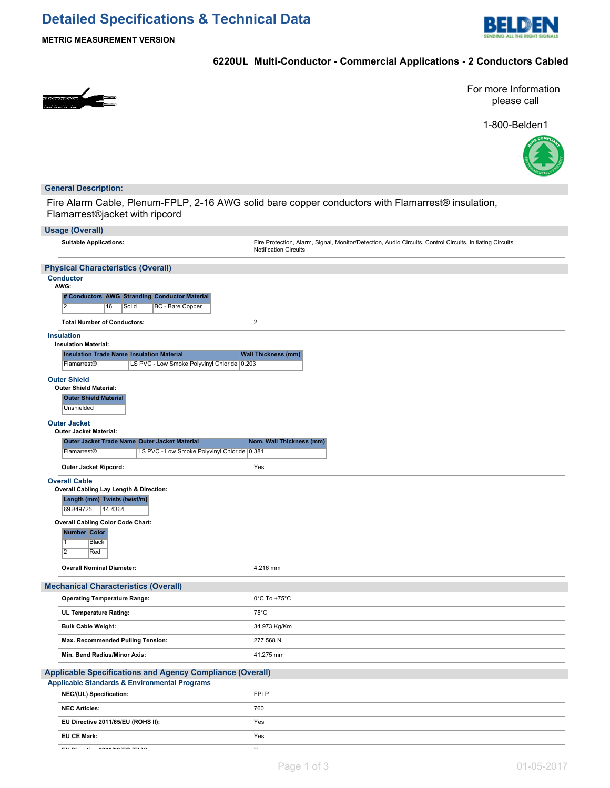# **Detailed Specifications & Technical Data**



**METRIC MEASUREMENT VERSION**

## **6220UL Multi-Conductor - Commercial Applications - 2 Conductors Cabled**



For more Information please call

1-800-Belden1



#### **General Description:**

Fire Alarm Cable, Plenum-FPLP, 2-16 AWG solid bare copper conductors with Flamarrest® insulation, Flamarrest®jacket with ripcord

| <b>Usage (Overall)</b>                                                                                                         |                                                                                                                                           |
|--------------------------------------------------------------------------------------------------------------------------------|-------------------------------------------------------------------------------------------------------------------------------------------|
| <b>Suitable Applications:</b>                                                                                                  | Fire Protection, Alarm, Signal, Monitor/Detection, Audio Circuits, Control Circuits, Initiating Circuits,<br><b>Notification Circuits</b> |
| <b>Physical Characteristics (Overall)</b>                                                                                      |                                                                                                                                           |
| <b>Conductor</b><br>AWG:<br># Conductors AWG Stranding Conductor Material<br>$\overline{2}$<br>16<br>BC - Bare Copper<br>Solid |                                                                                                                                           |
| <b>Total Number of Conductors:</b><br><b>Insulation</b>                                                                        | $\overline{2}$                                                                                                                            |
| <b>Insulation Material:</b>                                                                                                    |                                                                                                                                           |
| <b>Insulation Trade Name Insulation Material</b>                                                                               | <b>Wall Thickness (mm)</b>                                                                                                                |
| LS PVC - Low Smoke Polyvinyl Chloride 0.203<br>Flamarrest <sup>®</sup>                                                         |                                                                                                                                           |
| <b>Outer Shield</b><br><b>Outer Shield Material:</b><br><b>Outer Shield Material</b><br>Unshielded<br><b>Outer Jacket</b>      |                                                                                                                                           |
| <b>Outer Jacket Material:</b>                                                                                                  |                                                                                                                                           |
| Outer Jacket Trade Name Outer Jacket Material                                                                                  | Nom. Wall Thickness (mm)                                                                                                                  |
| Flamarrest®<br>LS PVC - Low Smoke Polyvinyl Chloride                                                                           | 0.381                                                                                                                                     |
| Outer Jacket Ripcord:                                                                                                          | Yes                                                                                                                                       |
| <b>Overall Cable</b><br>Overall Cabling Lay Length & Direction:                                                                |                                                                                                                                           |
| Length (mm) Twists (twist/m)<br>69.849725<br>14.4364                                                                           |                                                                                                                                           |
| <b>Overall Cabling Color Code Chart:</b>                                                                                       |                                                                                                                                           |
| <b>Number Color</b><br>1<br><b>Black</b><br>$\overline{2}$<br>Red                                                              |                                                                                                                                           |
| <b>Overall Nominal Diameter:</b>                                                                                               | 4.216 mm                                                                                                                                  |
| <b>Mechanical Characteristics (Overall)</b>                                                                                    |                                                                                                                                           |
| <b>Operating Temperature Range:</b>                                                                                            | $0^{\circ}$ C To +75 $^{\circ}$ C                                                                                                         |
| UL Temperature Rating:                                                                                                         | $75^{\circ}$ C                                                                                                                            |
| <b>Bulk Cable Weight:</b>                                                                                                      | 34.973 Kg/Km                                                                                                                              |
| Max. Recommended Pulling Tension:                                                                                              | 277.568 N                                                                                                                                 |
| Min. Bend Radius/Minor Axis:                                                                                                   | 41.275 mm                                                                                                                                 |
| Applicable Specifications and Agency Compliance (Overall)<br><b>Applicable Standards &amp; Environmental Programs</b>          |                                                                                                                                           |
| NEC/(UL) Specification:                                                                                                        | <b>FPLP</b>                                                                                                                               |
| <b>NEC Articles:</b>                                                                                                           | 760                                                                                                                                       |
| EU Directive 2011/65/EU (ROHS II):                                                                                             | Yes                                                                                                                                       |
| <b>EU CE Mark:</b>                                                                                                             | Yes                                                                                                                                       |
| $-1.1 - 1.1$<br><u>and a construction to the se</u>                                                                            | $\bar{\epsilon}$                                                                                                                          |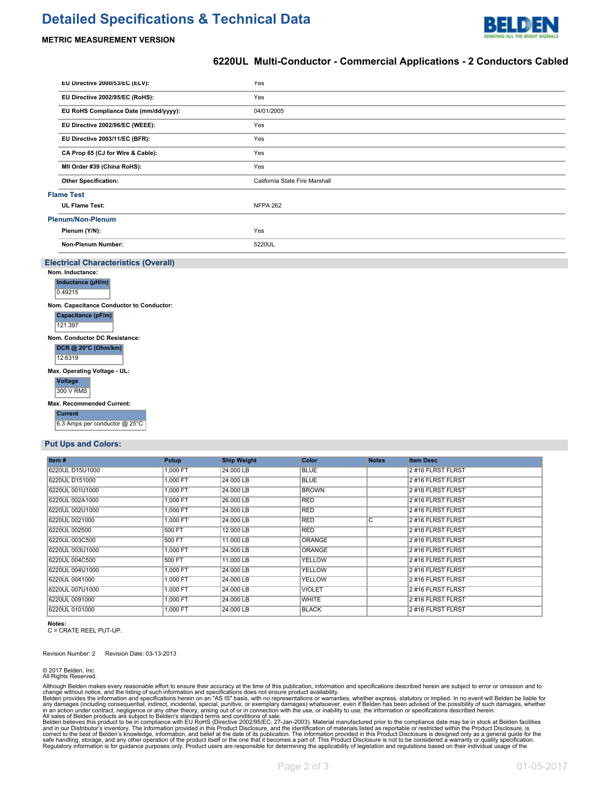## **Detailed Specifications & Technical Data**



#### **METRIC MEASUREMENT VERSION**

#### **6220UL Multi-Conductor - Commercial Applications - 2 Conductors Cabled**

| EU Directive 2000/53/EC (ELV):                                  | Yes                            |  |  |  |  |  |
|-----------------------------------------------------------------|--------------------------------|--|--|--|--|--|
| EU Directive 2002/95/EC (RoHS):                                 | Yes                            |  |  |  |  |  |
| EU RoHS Compliance Date (mm/dd/yyyy):                           | 04/01/2005                     |  |  |  |  |  |
| EU Directive 2002/96/EC (WEEE):                                 | Yes                            |  |  |  |  |  |
| EU Directive 2003/11/EC (BFR):                                  | Yes                            |  |  |  |  |  |
| CA Prop 65 (CJ for Wire & Cable):                               | Yes                            |  |  |  |  |  |
| MII Order #39 (China RoHS):                                     | Yes                            |  |  |  |  |  |
| <b>Other Specification:</b>                                     | California State Fire Marshall |  |  |  |  |  |
| <b>Flame Test</b>                                               |                                |  |  |  |  |  |
| <b>UL Flame Test:</b>                                           | <b>NFPA 262</b>                |  |  |  |  |  |
| Plenum/Non-Plenum                                               |                                |  |  |  |  |  |
| Plenum (Y/N):                                                   | Yes                            |  |  |  |  |  |
| Non-Plenum Number:                                              | 5220UL                         |  |  |  |  |  |
|                                                                 |                                |  |  |  |  |  |
|                                                                 |                                |  |  |  |  |  |
| <b>Electrical Characteristics (Overall)</b><br>Nom. Inductance: |                                |  |  |  |  |  |
| Inductance (µH/m)                                               |                                |  |  |  |  |  |
| 0.49215                                                         |                                |  |  |  |  |  |
| Nom. Capacitance Conductor to Conductor:                        |                                |  |  |  |  |  |
| Capacitance (pF/m)                                              |                                |  |  |  |  |  |
| 121.397                                                         |                                |  |  |  |  |  |
| Nom. Conductor DC Resistance:<br>DCR @ 20°C (Ohm/km)<br>12.6319 |                                |  |  |  |  |  |
|                                                                 |                                |  |  |  |  |  |
| Max. Operating Voltage - UL:<br>Voltage<br><b>300 V RMS</b>     |                                |  |  |  |  |  |
| Max. Recommended Current:                                       |                                |  |  |  |  |  |

#### **Put Ups and Colors:**

| Item#           | Putup    | <b>Ship Weight</b> | Color         | <b>Notes</b>       | <b>Item Desc</b> |
|-----------------|----------|--------------------|---------------|--------------------|------------------|
| 6220UL D15U1000 | 1.000 FT | 24.000 LB          | <b>BLUE</b>   |                    | 2#16 FLRST FLRST |
| 6220UL D151000  | 1,000 FT | 24,000 LB          | <b>BLUE</b>   |                    | 2#16 FLRST FLRST |
| 6220UL 001U1000 | 1.000 FT | 24,000 LB          | <b>BROWN</b>  |                    | 2#16 FLRST FLRST |
| 6220UL 002A1000 | 1,000 FT | 26,000 LB          | <b>RED</b>    |                    | 2#16 FLRST FLRST |
| 6220UL 002U1000 | 1.000 FT | 24,000 LB          | <b>RED</b>    |                    | 2#16 FLRST FLRST |
| 6220UL 0021000  | 1.000 FT | 24,000 LB          | <b>RED</b>    | $\overline{\rm c}$ | 2#16 FLRST FLRST |
| 6220UL 002500   | 500 FT   | 12.000 LB          | <b>RED</b>    |                    | 2#16 FLRST FLRST |
| 6220UL 003C500  | 500 FT   | 11,000 LB          | <b>ORANGE</b> |                    | 2#16 FLRST FLRST |
| 6220UL 003U1000 | 1.000 FT | 24,000 LB          | <b>ORANGE</b> |                    | 2#16 FLRST FLRST |
| 6220UL 004C500  | 500 FT   | 11,000 LB          | YELLOW        |                    | 2#16 FLRST FLRST |
| 6220UL 004U1000 | 1,000 FT | 24,000 LB          | <b>YELLOW</b> |                    | 2#16 FLRST FLRST |
| 6220UL 0041000  | 1.000 FT | 24,000 LB          | <b>YELLOW</b> |                    | 2#16 FLRST FLRST |
| 6220UL 007U1000 | 1.000 FT | 24.000 LB          | <b>VIOLET</b> |                    | 2#16 FLRST FLRST |
| 6220UL 0091000  | 1,000 FT | 24,000 LB          | <b>WHITE</b>  |                    | 2#16 FLRST FLRST |
| 6220UL 0101000  | 1.000 FT | 24,000 LB          | <b>BLACK</b>  |                    | 2#16 FLRST FLRST |

**Notes:** C = CRATE REEL PUT-UP.

Revision Number: 2 Revision Date: 03-13-2013

© 2017 Belden, Inc All Rights Reserved.

Although Belden makes every reasonable effort to ensure their accuracy at the time of this publication, information and specifications described herein are subject to error or omission and to<br>change without notice, and the